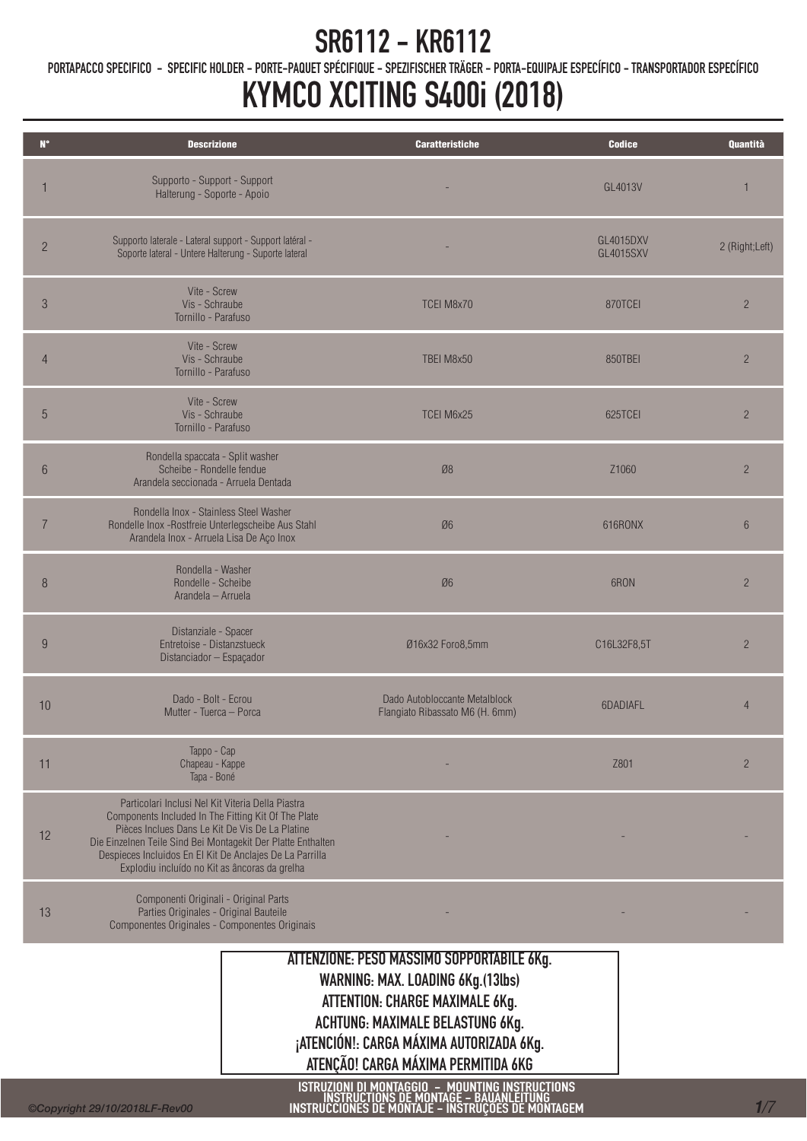PORTAPACCO SPECIFICO - SPECIFIC HOLDER - PORTE-PAQUET SPÉCIFIQUE - SPEZIFISCHER TRÄGER - PORTA-EQUIPAJE ESPECÍFICO - TRANSPORTADOR ESPECÍFICO

### KYMCO XCITING S400i (2018)

| $\mathbf{N}^{\circ}$                       | <b>Descrizione</b>                                                                                                                                                                                                                                                                                                                       | <b>Caratteristiche</b>                                           | <b>Codice</b>                        | Quantità        |
|--------------------------------------------|------------------------------------------------------------------------------------------------------------------------------------------------------------------------------------------------------------------------------------------------------------------------------------------------------------------------------------------|------------------------------------------------------------------|--------------------------------------|-----------------|
|                                            | Supporto - Support - Support<br>Halterung - Soporte - Apoio                                                                                                                                                                                                                                                                              |                                                                  | GL4013V                              | 1               |
| $\overline{c}$                             | Supporto laterale - Lateral support - Support latéral -<br>Soporte lateral - Untere Halterung - Suporte lateral                                                                                                                                                                                                                          |                                                                  | <b>GL4015DXV</b><br><b>GL4015SXV</b> | 2 (Right;Left)  |
| $\mathcal{S}$                              | Vite - Screw<br>Vis - Schraube<br>Tornillo - Parafuso                                                                                                                                                                                                                                                                                    | TCEI M8x70                                                       | 870TCEI                              | $\overline{2}$  |
| $\overline{4}$                             | Vite - Screw<br>Vis - Schraube<br>Tornillo - Parafuso                                                                                                                                                                                                                                                                                    | TBEI M8x50                                                       | 850TBEI                              | $\overline{2}$  |
| 5                                          | Vite - Screw<br>Vis - Schraube<br>Tornillo - Parafuso                                                                                                                                                                                                                                                                                    | TCEI M6x25                                                       | 625TCEI                              | $\overline{2}$  |
| $6\phantom{.}6$                            | Rondella spaccata - Split washer<br>Scheibe - Rondelle fendue<br>Arandela seccionada - Arruela Dentada                                                                                                                                                                                                                                   | Ø8                                                               | Z1060                                | $\overline{2}$  |
| $\overline{7}$                             | Rondella Inox - Stainless Steel Washer<br>Rondelle Inox - Rostfreie Unterlegscheibe Aus Stahl<br>Arandela Inox - Arruela Lisa De Aço Inox                                                                                                                                                                                                | Ø <sub>6</sub>                                                   | 616RONX                              | $6\phantom{.}6$ |
| 8                                          | Rondella - Washer<br>Rondelle - Scheibe<br>Arandela - Arruela                                                                                                                                                                                                                                                                            | Ø6                                                               | 6RON                                 | $\overline{2}$  |
| 9                                          | Distanziale - Spacer<br>Entretoise - Distanzstueck<br>Distanciador - Espaçador                                                                                                                                                                                                                                                           | Ø16x32 Foro8,5mm                                                 | C16L32F8,5T                          | $\overline{2}$  |
| 10                                         | Dado - Bolt - Ecrou<br>Mutter - Tuerca - Porca                                                                                                                                                                                                                                                                                           | Dado Autobloccante Metalblock<br>Flangiato Ribassato M6 (H. 6mm) | 6DADIAFL                             | 4               |
| 11                                         | Tappo - Cap<br>Chapeau - Kappe<br>Tapa - Boné                                                                                                                                                                                                                                                                                            |                                                                  | Z801                                 | $\overline{c}$  |
| 12                                         | Particolari Inclusi Nel Kit Viteria Della Piastra<br>Components Included In The Fitting Kit Of The Plate<br>Pièces Inclues Dans Le Kit De Vis De La Platine<br>Die Einzelnen Teile Sind Bei Montagekit Der Platte Enthalten<br>Despieces Incluidos En El Kit De Anclajes De La Parrilla<br>Explodiu incluído no Kit as âncoras da grelha |                                                                  |                                      |                 |
| 13                                         | Componenti Originali - Original Parts<br>Parties Originales - Original Bauteile<br>Componentes Originales - Componentes Originais                                                                                                                                                                                                        |                                                                  |                                      |                 |
| ATTENZIONE, DECO MACCIMO CODDODTARII E AKO |                                                                                                                                                                                                                                                                                                                                          |                                                                  |                                      |                 |

AITENZIUNE: PESU MASSIMU SUPPURIABILE 6Kg. WARNING: MAX. LOADING 6Kg.(13lbs) ATTENTION: CHARGE MAXIMALE 6Kg. ACHTUNG: MAXIMALE BELASTUNG 6Kg. ¡ATENCIÓN!: CARGA MÁXIMA AUTORIZADA 6Kg. ATENÇÃO! CARGA MÁXIMA PERMITIDA 6KG

ISTRUZIONI DI MONTAGGIO – MOUNTING INSTRUCTIONS<br>INSTRUCTIONS DE MONTAGE – BAUANLEITUNG<br>INSTRUCCIONES DE MONTAJE – INSTRUÇÕES DE MONTAGEM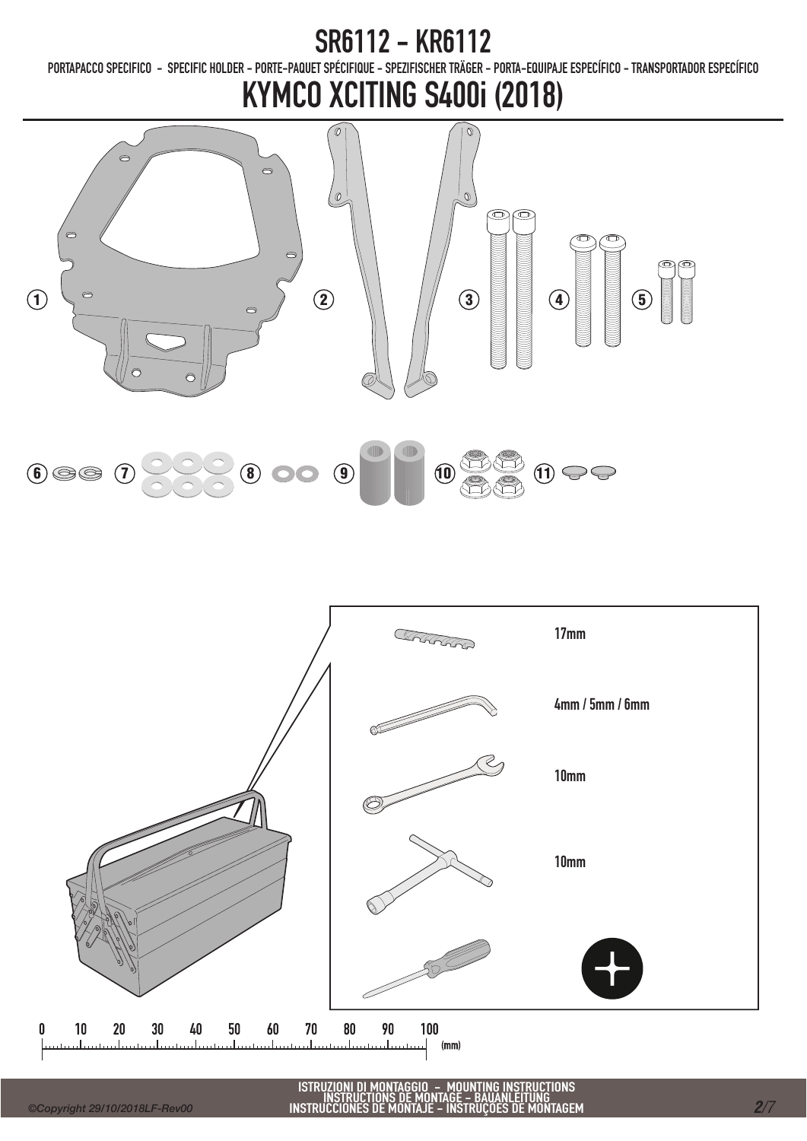PORTAPACCO SPECIFICO - SPECIFIC HOLDER - PORTE-PAQUET SPÉCIFIQUE - SPEZIFISCHER TRÄGER - PORTA-EQUIPAJE ESPECÍFICO - TRANSPORTADOR ESPECÍFICO



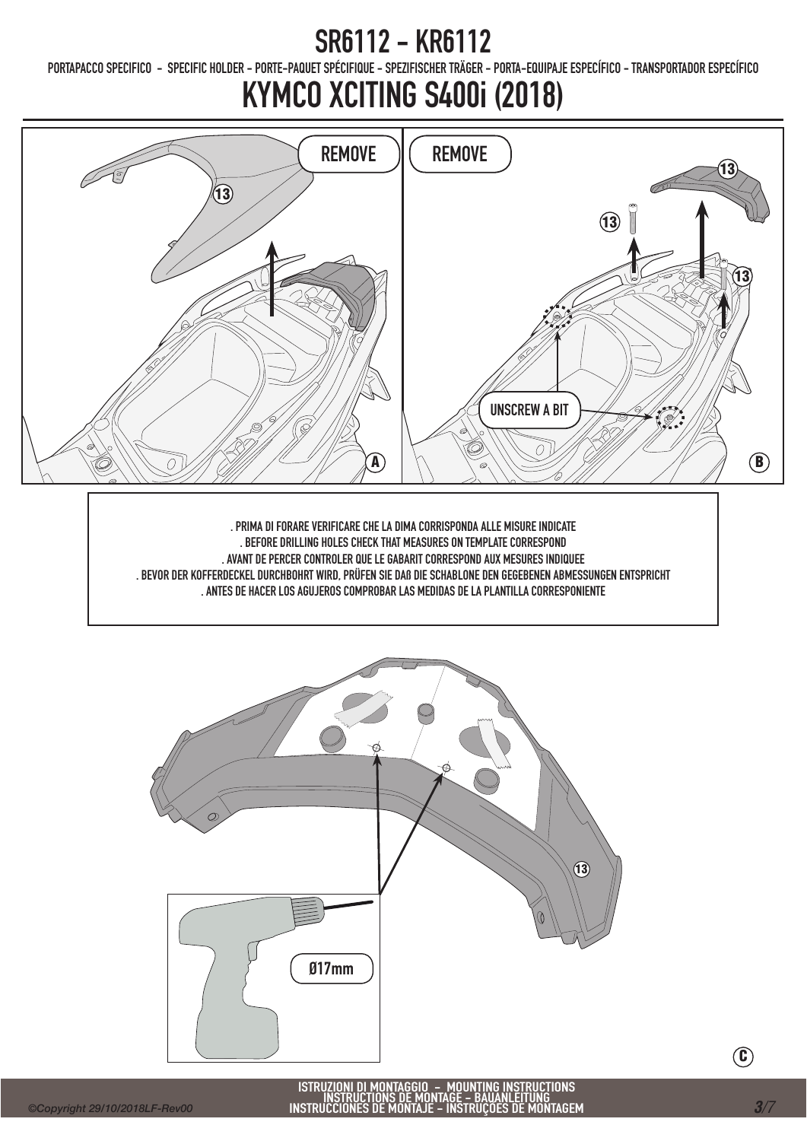PORTAPACCO SPECIFICO - SPECIFIC HOLDER - PORTE-PAQUET SPÉCIFIQUE - SPEZIFISCHER TRÄGER - PORTA-EQUIPAJE ESPECÍFICO - TRANSPORTADOR ESPECÍFICO

### KYMCO XCITING S400i (2018)



. BEFORE DRILLING HOLES CHECK THAT MEASURES ON TEMPLATE CORRESPOND . AVANT DE PERCER CONTROLER QUE LE GABARIT CORRESPOND AUX MESURES INDIQUEE . BEVOR DER KOFFERDECKEL DURCHBOHRT WIRD, PRÜFEN SIE DAß DIE SCHABLONE DEN GEGEBENEN ABMESSUNGEN ENTSPRICHT . ANTES DE HACER LOS AGUJEROS COMPROBAR LAS MEDIDAS DE LA PLANTILLA CORRESPONIENTE



 $\bigodot$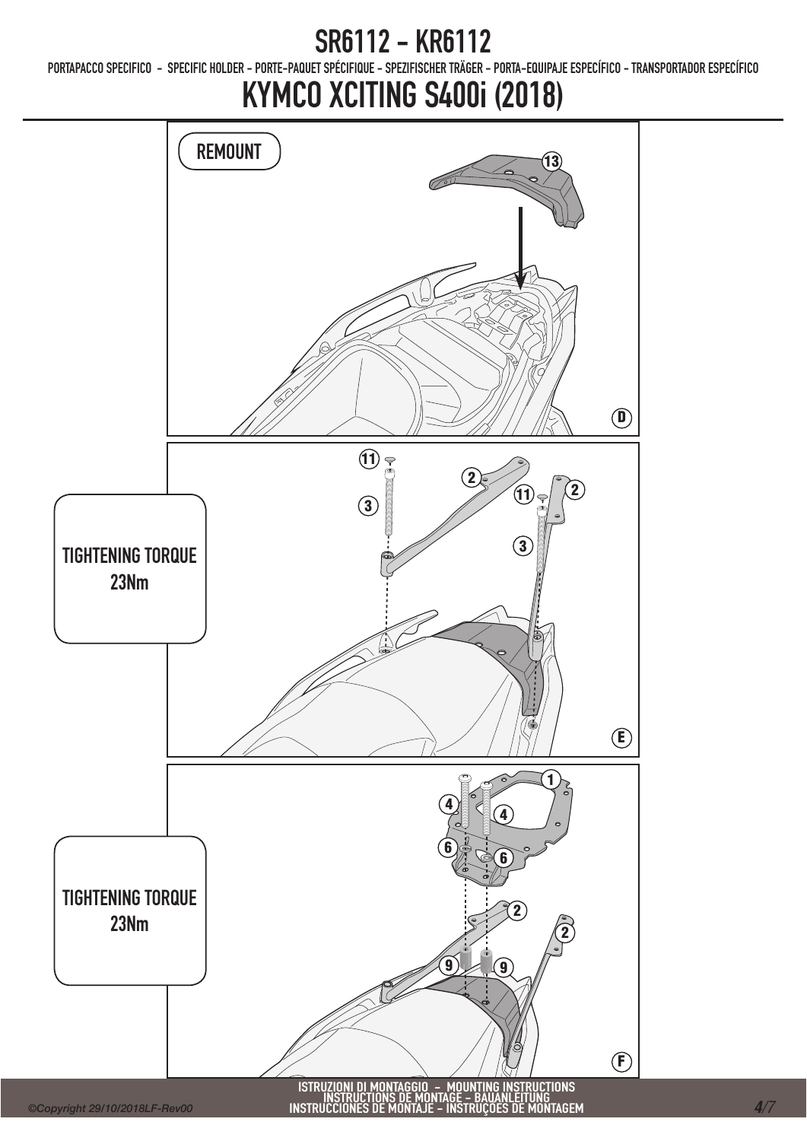PORTAPACCO SPECIFICO - SPECIFIC HOLDER - PORTE-PAQUET SPÉCIFIQUE - SPEZIFISCHER TRÄGER - PORTA-EQUIPAJE ESPECÍFICO - TRANSPORTADOR ESPECÍFICO

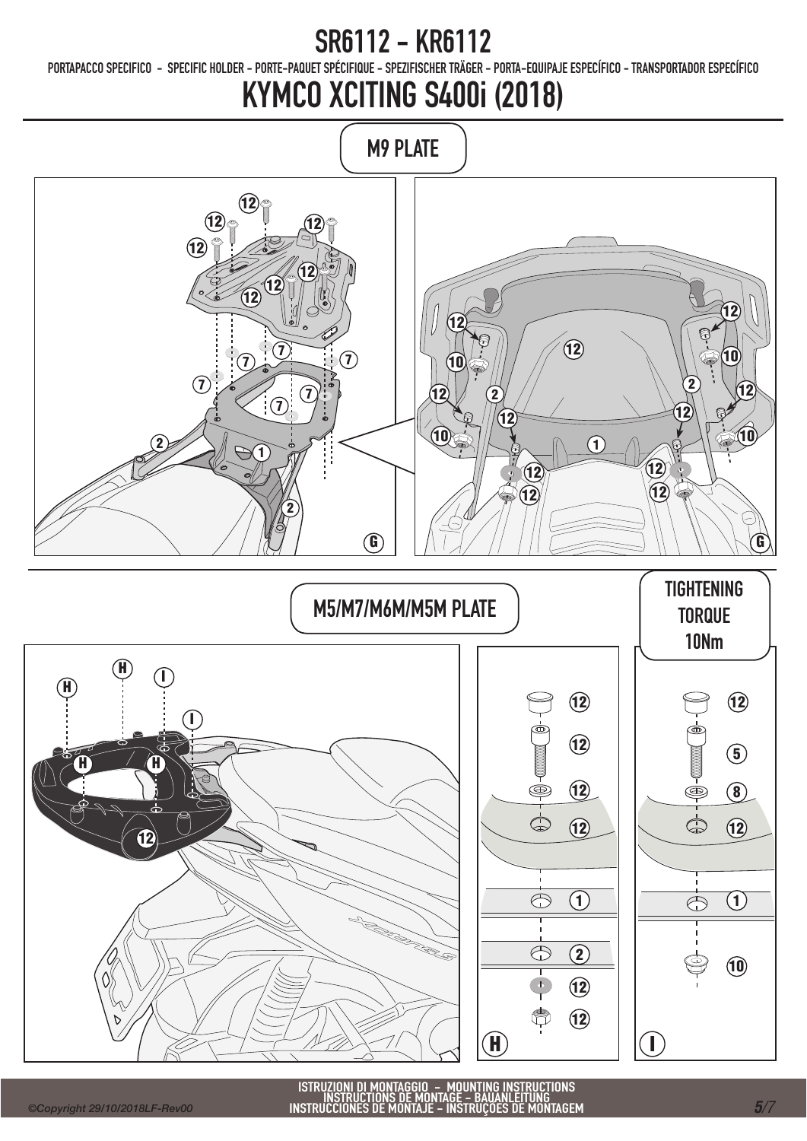PORTAPACCO SPECIFICO - SPECIFIC HOLDER - PORTE-PAQUET SPÉCIFIQUE - SPEZIFISCHER TRÄGER - PORTA-EQUIPAJE ESPECÍFICO - TRANSPORTADOR ESPECÍFICO

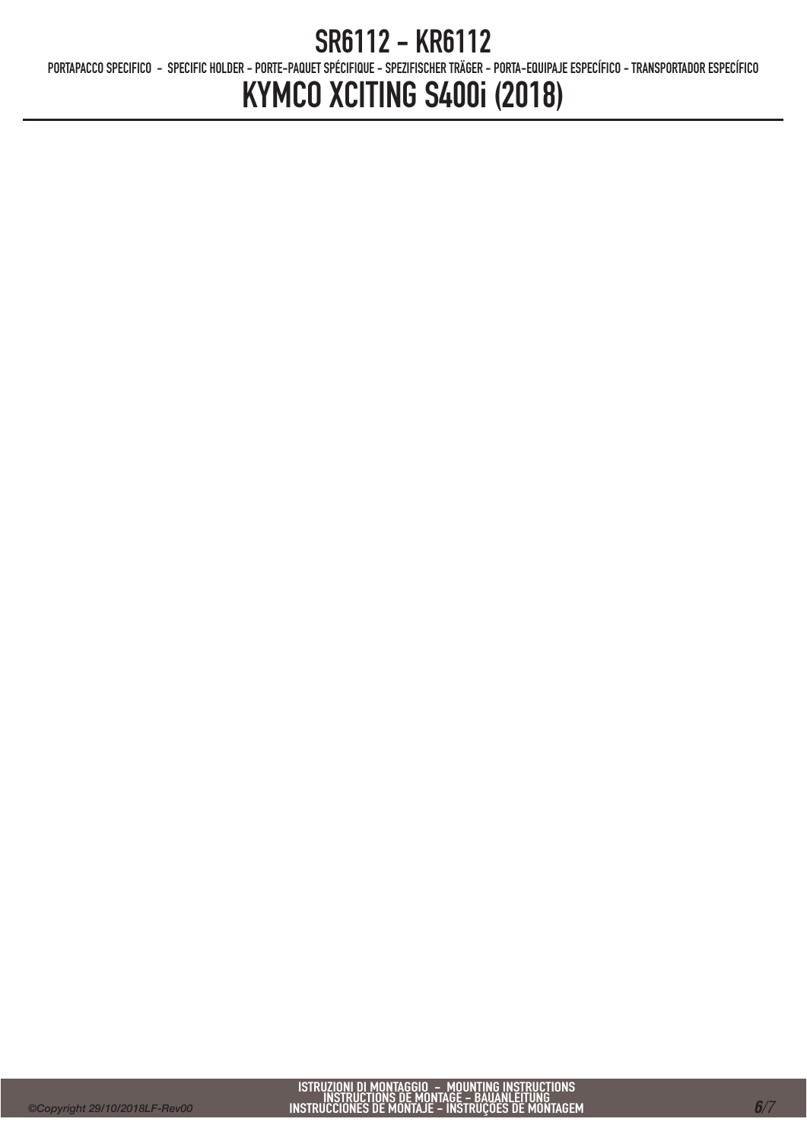PORTAPACCO SPECIFICO - SPECIFIC HOLDER - PORTE-PAQUET SPÉCIFIQUE - SPEZIFISCHER TRÄGER - PORTA-EQUIPAJE ESPECÍFICO - TRANSPORTADOR ESPECÍFICO